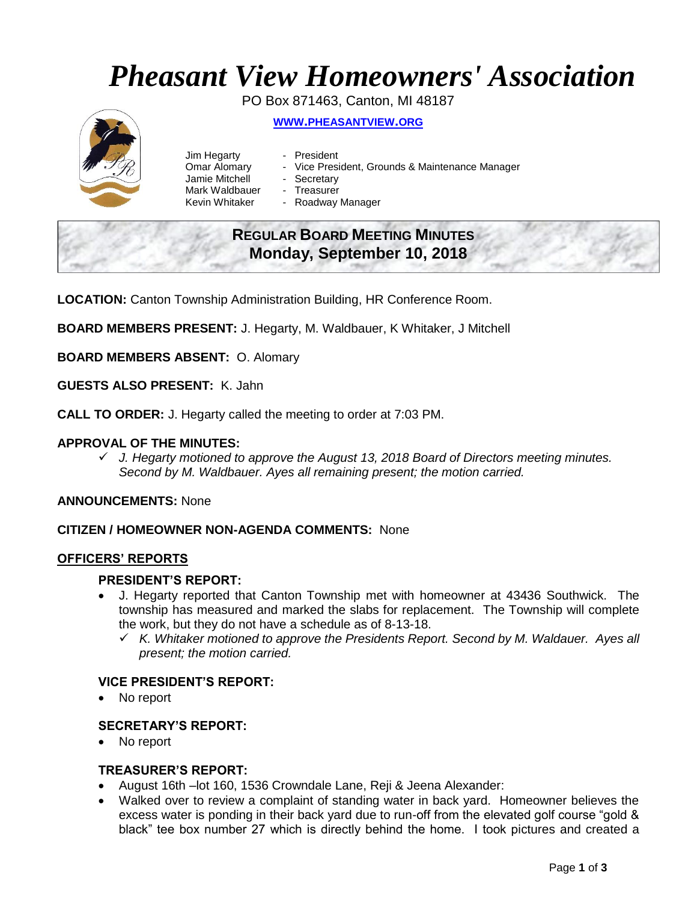## *Pheasant View Homeowners' Association*

PO Box 871463, Canton, MI 48187 **WWW.[PHEASANTVIEW](http://www.pheasantview.org/).ORG**

# Jim Hegarty - President

- 
- 
- Omar Alomary Vice President, Grounds & Maintenance Manager
- Jamie Mitchell Secretary
- Mark Waldbauer Treasurer<br>Kevin Whitaker Roadway
	- Roadway Manager

### **REGULAR BOARD MEETING MINUTES Monday, September 10, 2018**

**LOCATION:** Canton Township Administration Building, HR Conference Room.

**BOARD MEMBERS PRESENT:** J. Hegarty, M. Waldbauer, K Whitaker, J Mitchell

**BOARD MEMBERS ABSENT:** O. Alomary

**GUESTS ALSO PRESENT:** K. Jahn

**CALL TO ORDER:** J. Hegarty called the meeting to order at 7:03 PM.

#### **APPROVAL OF THE MINUTES:**

✓ *J. Hegarty motioned to approve the August 13, 2018 Board of Directors meeting minutes. Second by M. Waldbauer. Ayes all remaining present; the motion carried.* 

**ANNOUNCEMENTS:** None

#### **CITIZEN / HOMEOWNER NON-AGENDA COMMENTS:** None

#### **OFFICERS' REPORTS**

#### **PRESIDENT'S REPORT:**

- J. Hegarty reported that Canton Township met with homeowner at 43436 Southwick. The township has measured and marked the slabs for replacement. The Township will complete the work, but they do not have a schedule as of 8-13-18.
	- ✓ *K. Whitaker motioned to approve the Presidents Report. Second by M. Waldauer. Ayes all present; the motion carried.*

#### **VICE PRESIDENT'S REPORT:**

No report

#### **SECRETARY'S REPORT:**

No report

#### **TREASURER'S REPORT:**

- August 16th –lot 160, 1536 Crowndale Lane, Reji & Jeena Alexander:
- Walked over to review a complaint of standing water in back yard. Homeowner believes the excess water is ponding in their back yard due to run-off from the elevated golf course "gold & black" tee box number 27 which is directly behind the home. I took pictures and created a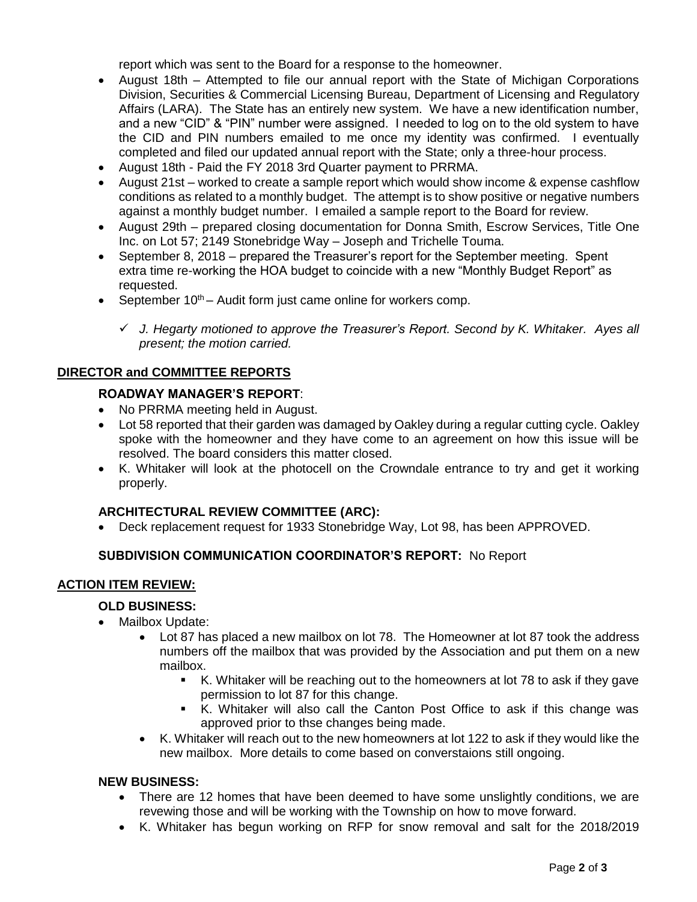report which was sent to the Board for a response to the homeowner.

- August 18th Attempted to file our annual report with the State of Michigan Corporations Division, Securities & Commercial Licensing Bureau, Department of Licensing and Regulatory Affairs (LARA). The State has an entirely new system. We have a new identification number, and a new "CID" & "PIN" number were assigned. I needed to log on to the old system to have the CID and PIN numbers emailed to me once my identity was confirmed. I eventually completed and filed our updated annual report with the State; only a three-hour process.
- August 18th Paid the FY 2018 3rd Quarter payment to PRRMA.
- August 21st worked to create a sample report which would show income & expense cashflow conditions as related to a monthly budget. The attempt is to show positive or negative numbers against a monthly budget number. I emailed a sample report to the Board for review.
- August 29th prepared closing documentation for Donna Smith, Escrow Services, Title One Inc. on Lot 57; 2149 Stonebridge Way – Joseph and Trichelle Touma.
- September 8, 2018 prepared the Treasurer's report for the September meeting. Spent extra time re-working the HOA budget to coincide with a new "Monthly Budget Report" as requested.
- September  $10^{th}$  Audit form just came online for workers comp.
	- ✓ *J. Hegarty motioned to approve the Treasurer's Report. Second by K. Whitaker. Ayes all present; the motion carried.*

#### **DIRECTOR and COMMITTEE REPORTS**

#### **ROADWAY MANAGER'S REPORT**:

- No PRRMA meeting held in August.
- Lot 58 reported that their garden was damaged by Oakley during a regular cutting cycle. Oakley spoke with the homeowner and they have come to an agreement on how this issue will be resolved. The board considers this matter closed.
- K. Whitaker will look at the photocell on the Crowndale entrance to try and get it working properly.

#### **ARCHITECTURAL REVIEW COMMITTEE (ARC):**

• Deck replacement request for 1933 Stonebridge Way, Lot 98, has been APPROVED.

#### **SUBDIVISION COMMUNICATION COORDINATOR'S REPORT:** No Report

#### **ACTION ITEM REVIEW:**

#### **OLD BUSINESS:**

- Mailbox Update:
	- Lot 87 has placed a new mailbox on lot 78. The Homeowner at lot 87 took the address numbers off the mailbox that was provided by the Association and put them on a new mailbox.
		- K. Whitaker will be reaching out to the homeowners at lot 78 to ask if they gave permission to lot 87 for this change.
		- K. Whitaker will also call the Canton Post Office to ask if this change was approved prior to thse changes being made.
	- K. Whitaker will reach out to the new homeowners at lot 122 to ask if they would like the new mailbox. More details to come based on converstaions still ongoing.

#### **NEW BUSINESS:**

- There are 12 homes that have been deemed to have some unslightly conditions, we are revewing those and will be working with the Township on how to move forward.
- K. Whitaker has begun working on RFP for snow removal and salt for the 2018/2019